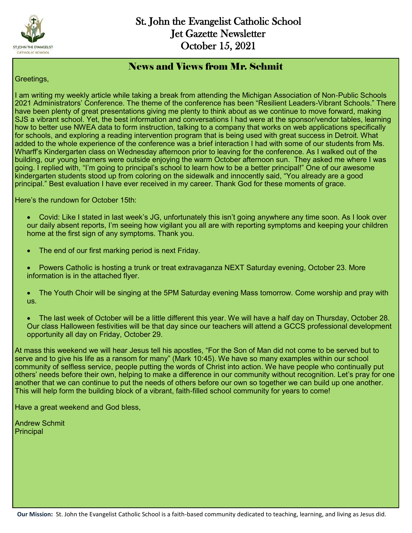

#### News and Views from Mr. Schmit

Greetings,

I am writing my weekly article while taking a break from attending the Michigan Association of Non-Public Schools 2021 Administrators' Conference. The theme of the conference has been "Resilient Leaders-Vibrant Schools." There have been plenty of great presentations giving me plenty to think about as we continue to move forward, making SJS a vibrant school. Yet, the best information and conversations I had were at the sponsor/vendor tables, learning how to better use NWEA data to form instruction, talking to a company that works on web applications specifically for schools, and exploring a reading intervention program that is being used with great success in Detroit. What added to the whole experience of the conference was a brief interaction I had with some of our students from Ms. Wharff's Kindergarten class on Wednesday afternoon prior to leaving for the conference. As I walked out of the building, our young learners were outside enjoying the warm October afternoon sun. They asked me where I was going. I replied with, "I'm going to principal's school to learn how to be a better principal!" One of our awesome kindergarten students stood up from coloring on the sidewalk and innocently said, "You already are a good principal." Best evaluation I have ever received in my career. Thank God for these moments of grace.

Here's the rundown for October 15th:

- Covid: Like I stated in last week's JG, unfortunately this isn't going anywhere any time soon. As I look over our daily absent reports, I'm seeing how vigilant you all are with reporting symptoms and keeping your children home at the first sign of any symptoms. Thank you.
- The end of our first marking period is next Friday.
- Powers Catholic is hosting a trunk or treat extravaganza NEXT Saturday evening, October 23. More information is in the attached flyer.
- The Youth Choir will be singing at the 5PM Saturday evening Mass tomorrow. Come worship and pray with us.
- The last week of October will be a little different this year. We will have a half day on Thursday, October 28. Our class Halloween festivities will be that day since our teachers will attend a GCCS professional development opportunity all day on Friday, October 29.

At mass this weekend we will hear Jesus tell his apostles, "For the Son of Man did not come to be served but to serve and to give his life as a ransom for many" (Mark 10:45). We have so many examples within our school community of selfless service, people putting the words of Christ into action. We have people who continually put others' needs before their own, helping to make a difference in our community without recognition. Let's pray for one another that we can continue to put the needs of others before our own so together we can build up one another. This will help form the building block of a vibrant, faith-filled school community for years to come!

Have a great weekend and God bless,

Andrew Schmit **Principal**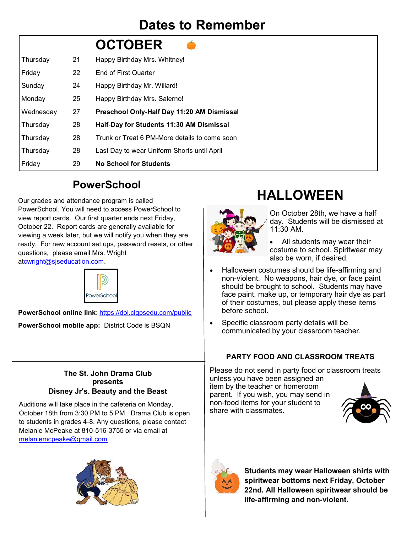## **Dates to Remember**

|           |                   | <b>OCTOBER</b>                                |
|-----------|-------------------|-----------------------------------------------|
| Thursday  | 21                | Happy Birthday Mrs. Whitney!                  |
| Friday    | $22 \overline{ }$ | <b>End of First Quarter</b>                   |
| Sunday    | 24                | Happy Birthday Mr. Willard!                   |
| Monday    | 25                | Happy Birthday Mrs. Salerno!                  |
| Wednesday | 27                | Preschool Only-Half Day 11:20 AM Dismissal    |
| Thursday  | 28                | Half-Day for Students 11:30 AM Dismissal      |
| Thursday  | 28                | Trunk or Treat 6 PM-More details to come soon |
| Thursday  | 28                | Last Day to wear Uniform Shorts until April   |
| Friday    | 29                | <b>No School for Students</b>                 |
|           |                   |                                               |

### **PowerSchool**

Our grades and attendance program is called PowerSchool. You will need to access PowerSchool to view report cards. Our first quarter ends next Friday, October 22. Report cards are generally available for viewing a week later, but we will notify you when they are ready. For new account set ups, password resets, or other questions, please email Mrs. Wright a[tcwright@sjseducation.com.](mailto:cwright@stjohnfenton.com)



**PowerSchool online link**: <https://dol.clgpsedu.com/public> **PowerSchool mobile app:** District Code is BSQN

#### **The St. John Drama Club presents Disney Jr's. Beauty and the Beast**

Auditions will take place in the cafeteria on Monday, October 18th from 3:30 PM to 5 PM. Drama Club is open to students in grades 4-8. Any questions, please contact Melanie McPeake at 810-516-3755 or via email at [melaniemcpeake@gmail.com](mailto:melaniemcpeake@gmail.com)



# **HALLOWEEN**



On October 28th, we have a half day. Students will be dismissed at 11:30 AM.

- All students may wear their costume to school. Spiritwear may also be worn, if desired.
- Halloween costumes should be life-affirming and non-violent. No weapons, hair dye, or face paint should be brought to school. Students may have face paint, make up, or temporary hair dye as part of their costumes, but please apply these items before school.
- Specific classroom party details will be communicated by your classroom teacher.

#### **PARTY FOOD AND CLASSROOM TREATS**

Please do not send in party food or classroom treats unless you have been assigned an item by the teacher or homeroom parent. If you wish, you may send in non-food items for your student to share with classmates.





**Students may wear Halloween shirts with spiritwear bottoms next Friday, October 22nd. All Halloween spiritwear should be life-affirming and non-violent.**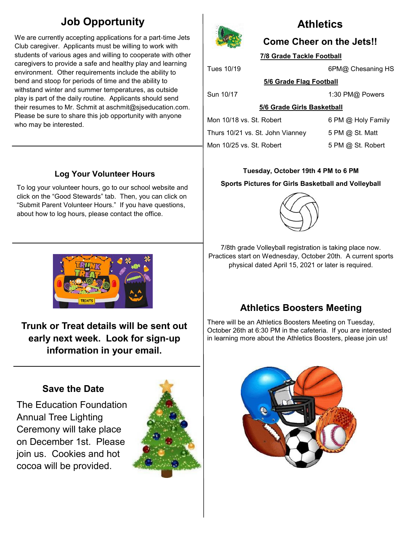### **Job Opportunity**

We are currently accepting applications for a part-time Jets Club caregiver. Applicants must be willing to work with students of various ages and willing to cooperate with other caregivers to provide a safe and healthy play and learning environment. Other requirements include the ability to bend and stoop for periods of time and the ability to withstand winter and summer temperatures, as outside play is part of the daily routine. Applicants should send their resumes to Mr. Schmit at aschmit@sjseducation.com. Please be sure to share this job opportunity with anyone who may be interested.

### **Log Your Volunteer Hours**

To log your volunteer hours, go to our school website and click on the "Good Stewards" tab. Then, you can click on "Submit Parent Volunteer Hours." If you have questions, about how to log hours, please contact the office.



**Trunk or Treat details will be sent out early next week. Look for sign-up information in your email.** 

### **Save the Date**

The Education Foundation Annual Tree Lighting Ceremony will take place on December 1st. Please join us. Cookies and hot cocoa will be provided.





### **Athletics**

### **Come Cheer on the Jets!!**

**7/8 Grade Tackle Football**

Tues 10/19 **6PM** 6PM Chesaning HS

**5/6 Grade Flag Football**

Sun 10/17 1:30 PM@ Powers

**5/6 Grade Girls Basketball**

Mon 10/18 vs. St. Robert 6 PM @ Holy Family Thurs 10/21 vs. St. John Vianney  $5 PM @$  St. Matt

Mon 10/25 vs. St. Robert 5 PM @ St. Robert

#### **Tuesday, October 19th 4 PM to 6 PM**

**Sports Pictures for Girls Basketball and Volleyball** 



7/8th grade Volleyball registration is taking place now. Practices start on Wednesday, October 20th. A current sports physical dated April 15, 2021 or later is required.

### **Athletics Boosters Meeting**

There will be an Athletics Boosters Meeting on Tuesday, October 26th at 6:30 PM in the cafeteria. If you are interested in learning more about the Athletics Boosters, please join us!

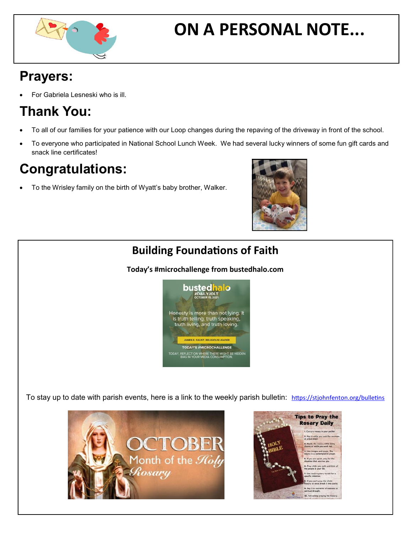

# **ON A PERSONAL NOTE...**

## **Prayers:**

For Gabriela Lesneski who is ill.

## **Thank You:**

- To all of our families for your patience with our Loop changes during the repaving of the driveway in front of the school.
- To everyone who participated in National School Lunch Week. We had several lucky winners of some fun gift cards and snack line certificates!

## **Congratulations:**

To the Wrisley family on the birth of Wyatt's baby brother, Walker.